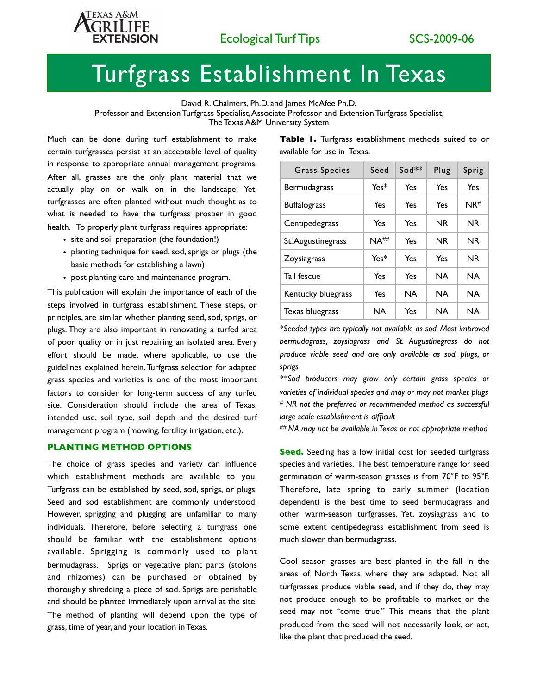

# Turfgrass Establishment In Texas

David R. Chalmers, Ph.D. and James McAfee Ph.D.

Professor and Extension Turfgrass Specialist, Associate Professor and Extension Turfgrass Specialist,

The Texas A&M University System

Much can be done during turf establishment to make certain turfgrasses persist at an acceptable level of quality in response to appropriate annual management programs. After all, grasses are the only plant material that we actually play on or walk on in the landscape! Yet, turfgrasses are often planted without much thought as to what is needed to have the turfgrass prosper in good health. To properly plant turfgrass requires appropriate:

- site and soil preparation (the foundation!)
- planting technique for seed, sod, sprigs or plugs (the basic methods for establishing a lawn)
- post planting care and maintenance program.

This publication will explain the importance of each of the steps involved in turfgrass establishment. These steps, or principles, are similar whether planting seed, sod, sprigs, or plugs. They are also important in renovating a turfed area of poor quality or in just repairing an isolated area. Every effort should be made, where applicable, to use the guidelines explained herein. Turfgrass selection for adapted grass species and varieties is one of the most important factors to consider for long-term success of any turfed site. Consideration should include the area of Texas, intended use, soil type, soil depth and the desired turf management program (mowing, fertility, irrigation, etc.).

## **PLANTING METHOD OPTIONS**

The choice of grass species and variety can influence which establishment methods are available to you. Turfgrass can be established by seed, sod, sprigs, or plugs. Seed and sod establishment are commonly understood. However, sprigging and plugging are unfamiliar to many individuals. Therefore, before selecting a turfgrass one should be familiar with the establishment options available. Sprigging is commonly used to plant bermudagrass. Sprigs or vegetative plant parts (stolons and rhizomes) can be purchased or obtained by thoroughly shredding a piece of sod. Sprigs are perishable and should be planted immediately upon arrival at the site. The method of planting will depend upon the type of grass, time of year, and your location in Texas.

| Grass Species       | Seed | $Sod**$   | Plug      | Sprig     |
|---------------------|------|-----------|-----------|-----------|
| <b>Bermudagrass</b> | Yes* | Yes       | Yes       | Yes       |
| <b>Buffalograss</b> | Yes  | Yes       | Yes       | NR#       |
| Centipedegrass      | Yes  | Yes       | NR.       | <b>NR</b> |
| St. Augustinegrass  | NA## | Yes       | NR.       | <b>NR</b> |
| Zoysiagrass         | Yes* | Yes       | Yes       | <b>NR</b> |
| Tall fescue         | Yes  | Yes       | <b>NA</b> | <b>NA</b> |
| Kentucky bluegrass  | Yes  | <b>NA</b> | <b>NA</b> | <b>NA</b> |
| Texas bluegrass     | NA   | Yes       | <b>NA</b> | <b>NA</b> |

**Table 1.** Turfgrass establishment methods suited to or available for use in Texas.

*\*Seeded types are typically not available as sod. Most improved bermudagrass, zoysiagrass and St. Augustinegrass do not produce viable seed and are only available as sod, plugs, or sprigs*

*\*\*Sod producers may grow only certain grass species or varieties of individual species and may or may not market plugs # NR not the preferred or recommended method as successful large scale establishment is difficult*

*## NA may not be available in Texas or not appropriate method*

**Seed.** Seeding has a low initial cost for seeded turfgrass species and varieties. The best temperature range for seed germination of warm-season grasses is from 70°F to 95°F. Therefore, late spring to early summer (location dependent) is the best time to seed bermudagrass and other warm-season turfgrasses. Yet, zoysiagrass and to some extent centipedegrass establishment from seed is much slower than bermudagrass.

Cool season grasses are best planted in the fall in the areas of North Texas where they are adapted. Not all turfgrasses produce viable seed, and if they do, they may not produce enough to be profitable to market or the seed may not "come true." This means that the plant produced from the seed will not necessarily look, or act, like the plant that produced the seed.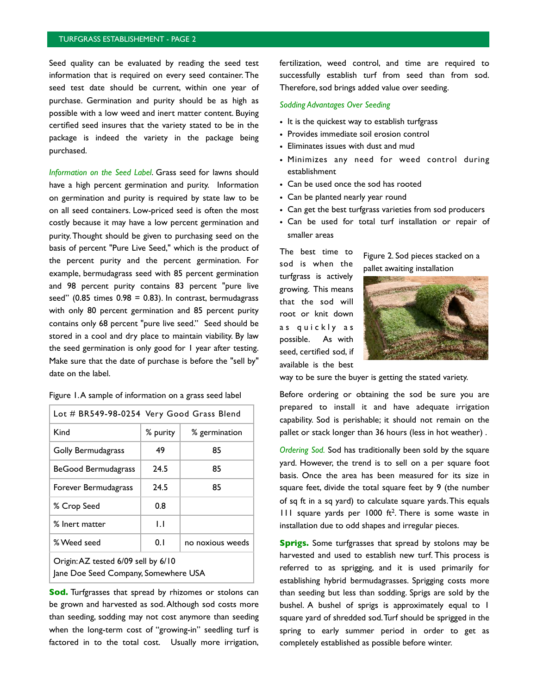Seed quality can be evaluated by reading the seed test information that is required on every seed container. The seed test date should be current, within one year of purchase. Germination and purity should be as high as possible with a low weed and inert matter content. Buying certified seed insures that the variety stated to be in the package is indeed the variety in the package being purchased.

*Information on the Seed Label*. Grass seed for lawns should have a high percent germination and purity. Information on germination and purity is required by state law to be on all seed containers. Low-priced seed is often the most costly because it may have a low percent germination and purity. Thought should be given to purchasing seed on the basis of percent "Pure Live Seed," which is the product of the percent purity and the percent germination. For example, bermudagrass seed with 85 percent germination and 98 percent purity contains 83 percent "pure live seed" (0.85 times  $0.98 = 0.83$ ). In contrast, bermudagrass with only 80 percent germination and 85 percent purity contains only 68 percent "pure live seed." Seed should be stored in a cool and dry place to maintain viability. By law the seed germination is only good for 1 year after testing. Make sure that the date of purchase is before the "sell by" date on the label.

| Lot # BR549-98-0254 Very Good Grass Blend                                   |          |                  |  |  |  |
|-----------------------------------------------------------------------------|----------|------------------|--|--|--|
| Kind                                                                        | % purity | % germination    |  |  |  |
| <b>Golly Bermudagrass</b>                                                   | 49       | 85               |  |  |  |
| <b>BeGood Bermudagrass</b>                                                  | 24.5     | 85               |  |  |  |
| Forever Bermudagrass                                                        | 24.5     | 85               |  |  |  |
| % Crop Seed                                                                 | 0.8      |                  |  |  |  |
| % Inert matter                                                              | IJ       |                  |  |  |  |
| % Weed seed                                                                 | 0.1      | no noxious weeds |  |  |  |
| Origin: AZ tested 6/09 sell by 6/10<br>Jane Doe Seed Company, Somewhere USA |          |                  |  |  |  |

Figure 1. A sample of information on a grass seed label

**Sod.** Turfgrasses that spread by rhizomes or stolons can be grown and harvested as sod. Although sod costs more than seeding, sodding may not cost anymore than seeding when the long-term cost of "growing-in" seedling turf is factored in to the total cost. Usually more irrigation,

fertilization, weed control, and time are required to successfully establish turf from seed than from sod. Therefore, sod brings added value over seeding.

## *Sodding Advantages Over Seeding*

- It is the quickest way to establish turfgrass
- Provides immediate soil erosion control
- Eliminates issues with dust and mud
- Minimizes any need for weed control during establishment
- Can be used once the sod has rooted
- Can be planted nearly year round
- Can get the best turfgrass varieties from sod producers
- Can be used for total turf installation or repair of smaller areas

The best time to sod is when the turfgrass is actively growing. This means that the sod will root or knit down as quickly as possible. As with seed, certified sod, if available is the best



Figure 2. Sod pieces stacked on a

way to be sure the buyer is getting the stated variety.

Before ordering or obtaining the sod be sure you are prepared to install it and have adequate irrigation capability. Sod is perishable; it should not remain on the pallet or stack longer than 36 hours (less in hot weather) .

*Ordering Sod.* Sod has traditionally been sold by the square yard. However, the trend is to sell on a per square foot basis. Once the area has been measured for its size in square feet, divide the total square feet by 9 (the number of sq ft in a sq yard) to calculate square yards. This equals  $111$  square yards per  $1000$  ft<sup>2</sup>. There is some waste in installation due to odd shapes and irregular pieces.

**Sprigs.** Some turfgrasses that spread by stolons may be harvested and used to establish new turf. This process is referred to as sprigging, and it is used primarily for establishing hybrid bermudagrasses. Sprigging costs more than seeding but less than sodding. Sprigs are sold by the bushel. A bushel of sprigs is approximately equal to 1 square yard of shredded sod. Turf should be sprigged in the spring to early summer period in order to get as completely established as possible before winter.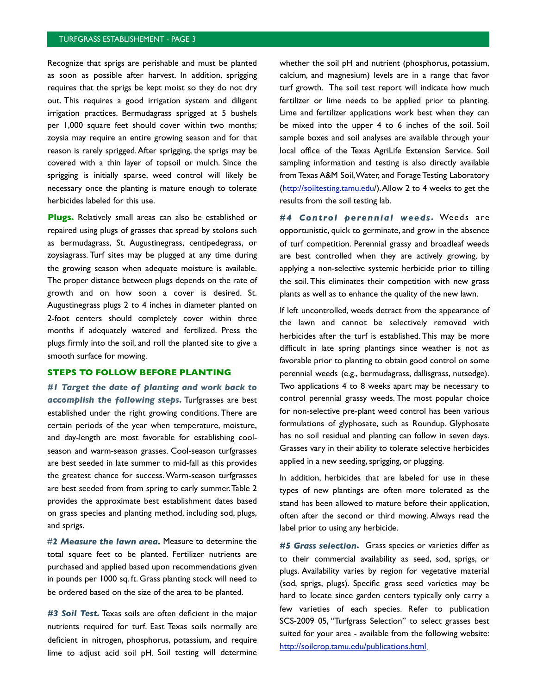Recognize that sprigs are perishable and must be planted as soon as possible after harvest. In addition, sprigging requires that the sprigs be kept moist so they do not dry out. This requires a good irrigation system and diligent irrigation practices. Bermudagrass sprigged at 5 bushels per 1,000 square feet should cover within two months; zoysia may require an entire growing season and for that reason is rarely sprigged. After sprigging, the sprigs may be covered with a thin layer of topsoil or mulch. Since the sprigging is initially sparse, weed control will likely be necessary once the planting is mature enough to tolerate herbicides labeled for this use.

**Plugs.** Relatively small areas can also be established or repaired using plugs of grasses that spread by stolons such as bermudagrass, St. Augustinegrass, centipedegrass, or zoysiagrass. Turf sites may be plugged at any time during the growing season when adequate moisture is available. The proper distance between plugs depends on the rate of growth and on how soon a cover is desired. St. Augustinegrass plugs 2 to 4 inches in diameter planted on 2-foot centers should completely cover within three months if adequately watered and fertilized. Press the plugs firmly into the soil, and roll the planted site to give a smooth surface for mowing.

### **STEPS TO FOLLOW BEFORE PLANTING**

*#1 Target the date of planting and work back to accomplish the following steps.* Turfgrasses are best established under the right growing conditions. There are certain periods of the year when temperature, moisture, and day-length are most favorable for establishing coolseason and warm-season grasses. Cool-season turfgrasses are best seeded in late summer to mid-fall as this provides the greatest chance for success. Warm-season turfgrasses are best seeded from from spring to early summer. Table 2 provides the approximate best establishment dates based on grass species and planting method, including sod, plugs, and sprigs.

#*2 Measure the lawn area.* Measure to determine the total square feet to be planted. Fertilizer nutrients are purchased and applied based upon recommendations given in pounds per 1000 sq. ft. Grass planting stock will need to be ordered based on the size of the area to be planted.

*#3 Soil Test.* Texas soils are often deficient in the major nutrients required for turf. East Texas soils normally are deficient in nitrogen, phosphorus, potassium, and require lime to adjust acid soil pH. Soil testing will determine whether the soil pH and nutrient (phosphorus, potassium, calcium, and magnesium) levels are in a range that favor turf growth. The soil test report will indicate how much fertilizer or lime needs to be applied prior to planting. Lime and fertilizer applications work best when they can be mixed into the upper 4 to 6 inches of the soil. Soil sample boxes and soil analyses are available through your local office of the Texas AgriLife Extension Service. Soil sampling information and testing is also directly available from Texas A&M Soil, Water, and Forage Testing Laboratory [\(http://soiltesting.tamu.edu/](http://soiltesting.tamu.edu)). Allow 2 to 4 weeks to get the results from the soil testing lab.

*#4 Control perennial weeds* **.** Weeds are opportunistic, quick to germinate, and grow in the absence of turf competition. Perennial grassy and broadleaf weeds are best controlled when they are actively growing, by applying a non-selective systemic herbicide prior to tilling the soil. This eliminates their competition with new grass plants as well as to enhance the quality of the new lawn.

If left uncontrolled, weeds detract from the appearance of the lawn and cannot be selectively removed with herbicides after the turf is established. This may be more difficult in late spring plantings since weather is not as favorable prior to planting to obtain good control on some perennial weeds (e.g., bermudagrass, dallisgrass, nutsedge). Two applications 4 to 8 weeks apart may be necessary to control perennial grassy weeds. The most popular choice for non-selective pre-plant weed control has been various formulations of glyphosate, such as Roundup. Glyphosate has no soil residual and planting can follow in seven days. Grasses vary in their ability to tolerate selective herbicides applied in a new seeding, sprigging, or plugging.

In addition, herbicides that are labeled for use in these types of new plantings are often more tolerated as the stand has been allowed to mature before their application, often after the second or third mowing. Always read the label prior to using any herbicide.

*#5 Grass selection***.** Grass species or varieties differ as to their commercial availability as seed, sod, sprigs, or plugs. Availability varies by region for vegetative material (sod, sprigs, plugs). Specific grass seed varieties may be hard to locate since garden centers typically only carry a few varieties of each species. Refer to publication SCS-2009 05, "Turfgrass Selection" to select grasses best suited for your area - available from the following website: [http://soilcrop.tamu.edu/publications.html.](http://soilcrop.tamu.edu/publications.html)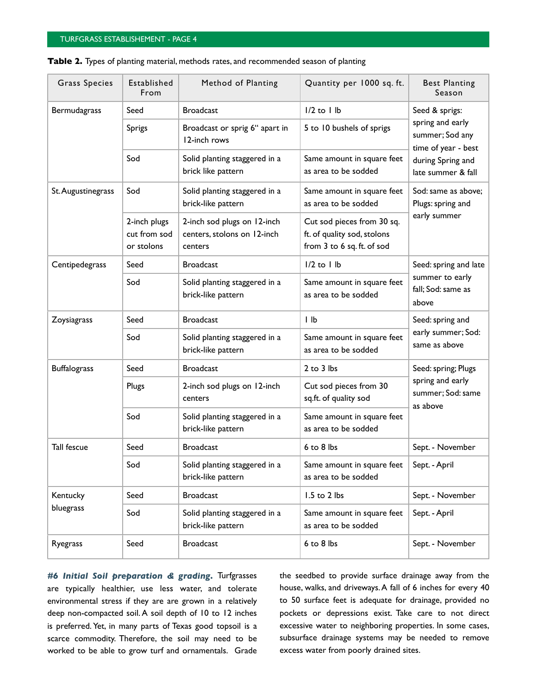| Grass Species         | Established<br>From                        | Method of Planting                                                          | Quantity per 1000 sq. ft.                                                               | <b>Best Planting</b><br>Season                                          |  |
|-----------------------|--------------------------------------------|-----------------------------------------------------------------------------|-----------------------------------------------------------------------------------------|-------------------------------------------------------------------------|--|
| Bermudagrass          | Seed                                       | <b>Broadcast</b>                                                            | $1/2$ to $1$ lb                                                                         | Seed & sprigs:                                                          |  |
|                       | <b>Sprigs</b>                              | Broadcast or sprig 6" apart in<br>5 to 10 bushels of sprigs<br>12-inch rows |                                                                                         | spring and early<br>summer; Sod any<br>time of year - best              |  |
|                       | Sod                                        | Solid planting staggered in a<br>brick like pattern                         | Same amount in square feet<br>as area to be sodded                                      | during Spring and<br>late summer & fall                                 |  |
| St. Augustinegrass    | Sod                                        | Solid planting staggered in a<br>brick-like pattern                         | Same amount in square feet<br>as area to be sodded                                      | Sod: same as above;<br>Plugs: spring and<br>early summer                |  |
|                       | 2-inch plugs<br>cut from sod<br>or stolons | 2-inch sod plugs on 12-inch<br>centers, stolons on 12-inch<br>centers       | Cut sod pieces from 30 sq.<br>ft. of quality sod, stolons<br>from 3 to 6 sq. ft. of sod |                                                                         |  |
| Centipedegrass        | Seed                                       | <b>Broadcast</b>                                                            | $1/2$ to $1$ lb                                                                         | Seed: spring and late<br>summer to early<br>fall; Sod: same as<br>above |  |
|                       | Sod                                        | Solid planting staggered in a<br>brick-like pattern                         | Same amount in square feet<br>as area to be sodded                                      |                                                                         |  |
| Zoysiagrass           | Seed                                       | <b>Broadcast</b>                                                            | $  \,   \,  $                                                                           | Seed: spring and                                                        |  |
|                       | Sod                                        | Solid planting staggered in a<br>brick-like pattern                         | Same amount in square feet<br>as area to be sodded                                      | early summer; Sod:<br>same as above                                     |  |
| <b>Buffalograss</b>   | Seed                                       | <b>Broadcast</b>                                                            | 2 to 3 lbs                                                                              | Seed: spring; Plugs                                                     |  |
|                       | Plugs                                      | 2-inch sod plugs on 12-inch<br>centers                                      | Cut sod pieces from 30<br>sq.ft. of quality sod                                         | spring and early<br>summer; Sod: same<br>as above                       |  |
|                       | Sod                                        | Solid planting staggered in a<br>brick-like pattern                         | Same amount in square feet<br>as area to be sodded                                      |                                                                         |  |
| Tall fescue           | Seed                                       | <b>Broadcast</b>                                                            | $6$ to $8$ lbs                                                                          | Sept. - November                                                        |  |
|                       | Sod                                        | Solid planting staggered in a<br>brick-like pattern                         | Same amount in square feet<br>as area to be sodded                                      | Sept. - April                                                           |  |
| Kentucky<br>bluegrass | Seed                                       | <b>Broadcast</b>                                                            | 1.5 to 2 lbs                                                                            | Sept. - November                                                        |  |
|                       | Sod                                        | Solid planting staggered in a<br>brick-like pattern                         | Same amount in square feet<br>as area to be sodded                                      | Sept. - April                                                           |  |
| Ryegrass              | Seed                                       | <b>Broadcast</b>                                                            | 6 to 8 lbs<br>Sept. - November                                                          |                                                                         |  |

|  |  |  |  |  |  | Table 2. Types of planting material, methods rates, and recommended season of planting |  |  |
|--|--|--|--|--|--|----------------------------------------------------------------------------------------|--|--|
|--|--|--|--|--|--|----------------------------------------------------------------------------------------|--|--|

*#6 Initial Soil preparation & grading.* Turfgrasses are typically healthier, use less water, and tolerate environmental stress if they are are grown in a relatively deep non-compacted soil. A soil depth of 10 to 12 inches is preferred. Yet, in many parts of Texas good topsoil is a scarce commodity. Therefore, the soil may need to be worked to be able to grow turf and ornamentals. Grade

the seedbed to provide surface drainage away from the house, walks, and driveways. A fall of 6 inches for every 40 to 50 surface feet is adequate for drainage, provided no pockets or depressions exist. Take care to not direct excessive water to neighboring properties. In some cases, subsurface drainage systems may be needed to remove excess water from poorly drained sites.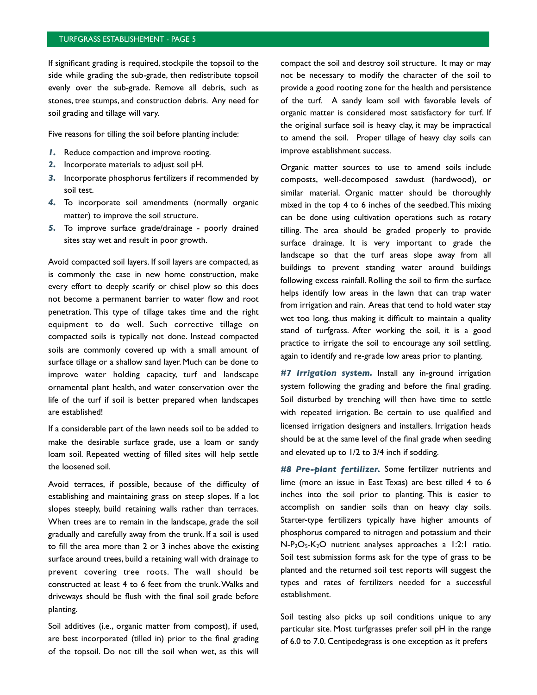If significant grading is required, stockpile the topsoil to the side while grading the sub-grade, then redistribute topsoil evenly over the sub-grade. Remove all debris, such as stones, tree stumps, and construction debris. Any need for soil grading and tillage will vary.

Five reasons for tilling the soil before planting include:

- *1.* Reduce compaction and improve rooting.
- *2.* Incorporate materials to adjust soil pH.
- *3.* Incorporate phosphorus fertilizers if recommended by soil test.
- *4.* To incorporate soil amendments (normally organic matter) to improve the soil structure.
- *5.* To improve surface grade/drainage poorly drained sites stay wet and result in poor growth.

Avoid compacted soil layers. If soil layers are compacted, as is commonly the case in new home construction, make every effort to deeply scarify or chisel plow so this does not become a permanent barrier to water flow and root penetration. This type of tillage takes time and the right equipment to do well. Such corrective tillage on compacted soils is typically not done. Instead compacted soils are commonly covered up with a small amount of surface tillage or a shallow sand layer. Much can be done to improve water holding capacity, turf and landscape ornamental plant health, and water conservation over the life of the turf if soil is better prepared when landscapes are established!

If a considerable part of the lawn needs soil to be added to make the desirable surface grade, use a loam or sandy loam soil. Repeated wetting of filled sites will help settle the loosened soil.

Avoid terraces, if possible, because of the difficulty of establishing and maintaining grass on steep slopes. If a lot slopes steeply, build retaining walls rather than terraces. When trees are to remain in the landscape, grade the soil gradually and carefully away from the trunk. If a soil is used to fill the area more than 2 or 3 inches above the existing surface around trees, build a retaining wall with drainage to prevent covering tree roots. The wall should be constructed at least 4 to 6 feet from the trunk. Walks and driveways should be flush with the final soil grade before planting.

Soil additives (i.e., organic matter from compost), if used, are best incorporated (tilled in) prior to the final grading of the topsoil. Do not till the soil when wet, as this will compact the soil and destroy soil structure. It may or may not be necessary to modify the character of the soil to provide a good rooting zone for the health and persistence of the turf. A sandy loam soil with favorable levels of organic matter is considered most satisfactory for turf. If the original surface soil is heavy clay, it may be impractical to amend the soil. Proper tillage of heavy clay soils can improve establishment success.

Organic matter sources to use to amend soils include composts, well-decomposed sawdust (hardwood), or similar material. Organic matter should be thoroughly mixed in the top 4 to 6 inches of the seedbed. This mixing can be done using cultivation operations such as rotary tilling. The area should be graded properly to provide surface drainage. It is very important to grade the landscape so that the turf areas slope away from all buildings to prevent standing water around buildings following excess rainfall. Rolling the soil to firm the surface helps identify low areas in the lawn that can trap water from irrigation and rain. Areas that tend to hold water stay wet too long, thus making it difficult to maintain a quality stand of turfgrass. After working the soil, it is a good practice to irrigate the soil to encourage any soil settling, again to identify and re-grade low areas prior to planting.

*#7 Irrigation system.* Install any in-ground irrigation system following the grading and before the final grading. Soil disturbed by trenching will then have time to settle with repeated irrigation. Be certain to use qualified and licensed irrigation designers and installers. Irrigation heads should be at the same level of the final grade when seeding and elevated up to 1/2 to 3/4 inch if sodding.

*#8 Pre-plant fertilizer.* Some fertilizer nutrients and lime (more an issue in East Texas) are best tilled 4 to 6 inches into the soil prior to planting. This is easier to accomplish on sandier soils than on heavy clay soils. Starter-type fertilizers typically have higher amounts of phosphorus compared to nitrogen and potassium and their N-P2O5-K2O nutrient analyses approaches a 1:2:1 ratio. Soil test submission forms ask for the type of grass to be planted and the returned soil test reports will suggest the types and rates of fertilizers needed for a successful establishment.

Soil testing also picks up soil conditions unique to any particular site. Most turfgrasses prefer soil pH in the range of 6.0 to 7.0. Centipedegrass is one exception as it prefers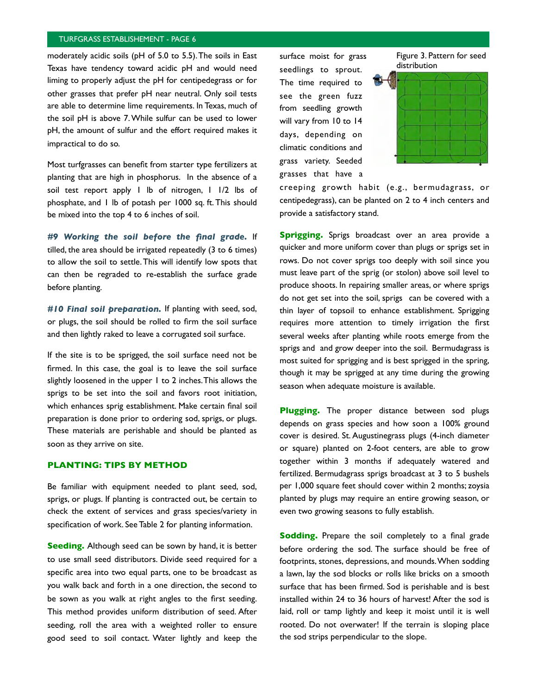# TURFGRASS ESTABLISHEMENT - PAGE 6

moderately acidic soils (pH of 5.0 to 5.5). The soils in East Texas have tendency toward acidic pH and would need liming to properly adjust the pH for centipedegrass or for other grasses that prefer pH near neutral. Only soil tests are able to determine lime requirements. In Texas, much of the soil pH is above 7. While sulfur can be used to lower pH, the amount of sulfur and the effort required makes it impractical to do so.

Most turfgrasses can benefit from starter type fertilizers at planting that are high in phosphorus. In the absence of a soil test report apply 1 lb of nitrogen, 1 1/2 lbs of phosphate, and 1 lb of potash per 1000 sq. ft. This should be mixed into the top 4 to 6 inches of soil.

*#9 Working the soil before the final grade.* If tilled, the area should be irrigated repeatedly (3 to 6 times) to allow the soil to settle. This will identify low spots that can then be regraded to re-establish the surface grade before planting.

*#10 Final soil preparation.* If planting with seed, sod, or plugs, the soil should be rolled to firm the soil surface and then lightly raked to leave a corrugated soil surface.

If the site is to be sprigged, the soil surface need not be firmed. In this case, the goal is to leave the soil surface slightly loosened in the upper 1 to 2 inches. This allows the sprigs to be set into the soil and favors root initiation, which enhances sprig establishment. Make certain final soil preparation is done prior to ordering sod, sprigs, or plugs. These materials are perishable and should be planted as soon as they arrive on site.

## **PLANTING: TIPS BY METHOD**

Be familiar with equipment needed to plant seed, sod, sprigs, or plugs. If planting is contracted out, be certain to check the extent of services and grass species/variety in specification of work. See Table 2 for planting information.

**Seeding***.* Although seed can be sown by hand, it is better to use small seed distributors. Divide seed required for a specific area into two equal parts, one to be broadcast as you walk back and forth in a one direction, the second to be sown as you walk at right angles to the first seeding. This method provides uniform distribution of seed. After seeding, roll the area with a weighted roller to ensure good seed to soil contact. Water lightly and keep the surface moist for grass seedlings to sprout. The time required to see the green fuzz from seedling growth will vary from 10 to 14 days, depending on climatic conditions and grass variety. Seeded grasses that have a





creeping growth habit (e.g., bermudagrass, or centipedegrass), can be planted on 2 to 4 inch centers and provide a satisfactory stand.

**Sprigging.** Sprigs broadcast over an area provide a quicker and more uniform cover than plugs or sprigs set in rows. Do not cover sprigs too deeply with soil since you must leave part of the sprig (or stolon) above soil level to produce shoots. In repairing smaller areas, or where sprigs do not get set into the soil, sprigs can be covered with a thin layer of topsoil to enhance establishment. Sprigging requires more attention to timely irrigation the first several weeks after planting while roots emerge from the sprigs and and grow deeper into the soil. Bermudagrass is most suited for sprigging and is best sprigged in the spring, though it may be sprigged at any time during the growing season when adequate moisture is available.

**Plugging.** The proper distance between sod plugs depends on grass species and how soon a 100% ground cover is desired. St. Augustinegrass plugs (4-inch diameter or square) planted on 2-foot centers, are able to grow together within 3 months if adequately watered and fertilized. Bermudagrass sprigs broadcast at 3 to 5 bushels per 1,000 square feet should cover within 2 months; zoysia planted by plugs may require an entire growing season, or even two growing seasons to fully establish.

**Sodding.** Prepare the soil completely to a final grade before ordering the sod. The surface should be free of footprints, stones, depressions, and mounds. When sodding a lawn, lay the sod blocks or rolls like bricks on a smooth surface that has been firmed. Sod is perishable and is best installed within 24 to 36 hours of harvest! After the sod is laid, roll or tamp lightly and keep it moist until it is well rooted. Do not overwater! If the terrain is sloping place the sod strips perpendicular to the slope.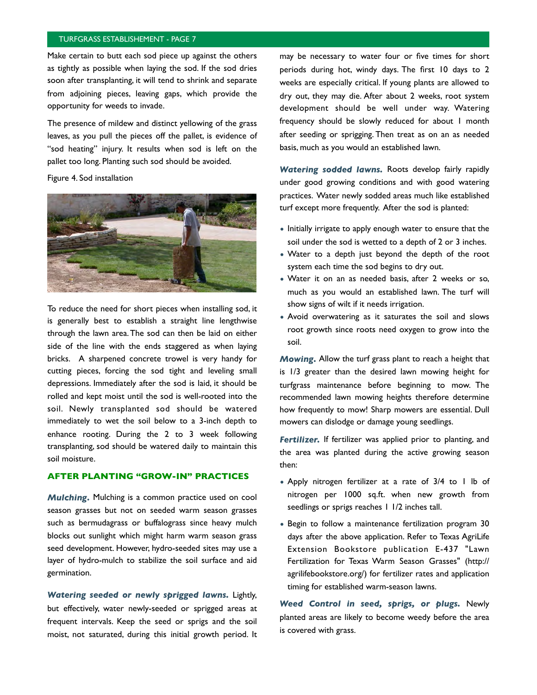# TURFGRASS ESTABLISHEMENT - PAGE 7

Make certain to butt each sod piece up against the others as tightly as possible when laying the sod. If the sod dries soon after transplanting, it will tend to shrink and separate from adjoining pieces, leaving gaps, which provide the opportunity for weeds to invade.

The presence of mildew and distinct yellowing of the grass leaves, as you pull the pieces off the pallet, is evidence of "sod heating" injury. It results when sod is left on the pallet too long. Planting such sod should be avoided.

#### Figure 4. Sod installation



To reduce the need for short pieces when installing sod, it is generally best to establish a straight line lengthwise through the lawn area. The sod can then be laid on either side of the line with the ends staggered as when laying bricks. A sharpened concrete trowel is very handy for cutting pieces, forcing the sod tight and leveling small depressions. Immediately after the sod is laid, it should be rolled and kept moist until the sod is well-rooted into the soil. Newly transplanted sod should be watered immediately to wet the soil below to a 3-inch depth to enhance rooting. During the 2 to 3 week following transplanting, sod should be watered daily to maintain this soil moisture.

#### **AFTER PLANTING "GROW-IN" PRACTICES**

*Mulching.* Mulching is a common practice used on cool season grasses but not on seeded warm season grasses such as bermudagrass or buffalograss since heavy mulch blocks out sunlight which might harm warm season grass seed development. However, hydro-seeded sites may use a layer of hydro-mulch to stabilize the soil surface and aid germination.

*Watering seeded or newly sprigged lawns.* Lightly, but effectively, water newly-seeded or sprigged areas at frequent intervals. Keep the seed or sprigs and the soil moist, not saturated, during this initial growth period. It may be necessary to water four or five times for short periods during hot, windy days. The first 10 days to 2 weeks are especially critical. If young plants are allowed to dry out, they may die. After about 2 weeks, root system development should be well under way. Watering frequency should be slowly reduced for about 1 month after seeding or sprigging. Then treat as on an as needed basis, much as you would an established lawn.

*Watering sodded lawns.* Roots develop fairly rapidly under good growing conditions and with good watering practices. Water newly sodded areas much like established turf except more frequently. After the sod is planted:

- *•* Initially irrigate to apply enough water to ensure that the soil under the sod is wetted to a depth of 2 or 3 inches.
- *•* Water to a depth just beyond the depth of the root system each time the sod begins to dry out.
- *•* Water it on an as needed basis, after 2 weeks or so, much as you would an established lawn. The turf will show signs of wilt if it needs irrigation.
- *•* Avoid overwatering as it saturates the soil and slows root growth since roots need oxygen to grow into the soil.

*Mowing.* Allow the turf grass plant to reach a height that is 1/3 greater than the desired lawn mowing height for turfgrass maintenance before beginning to mow. The recommended lawn mowing heights therefore determine how frequently to mow! Sharp mowers are essential. Dull mowers can dislodge or damage young seedlings.

*Fertilizer.* If fertilizer was applied prior to planting, and the area was planted during the active growing season then:

- *•* Apply nitrogen fertilizer at a rate of 3/4 to 1 lb of nitrogen per 1000 sq.ft. when new growth from seedlings or sprigs reaches 1 1/2 inches tall.
- *•* Begin to follow a maintenance fertilization program 30 days after the above application. Refer to Texas AgriLife Extension Bookstore publication E-437 "Lawn Fertilization for Texas Warm Season Grasses" (http:// agrilifebookstore.org/) for fertilizer rates and application timing for established warm-season lawns.

*Weed Control in seed, sprigs, or plugs.* Newly planted areas are likely to become weedy before the area is covered with grass.